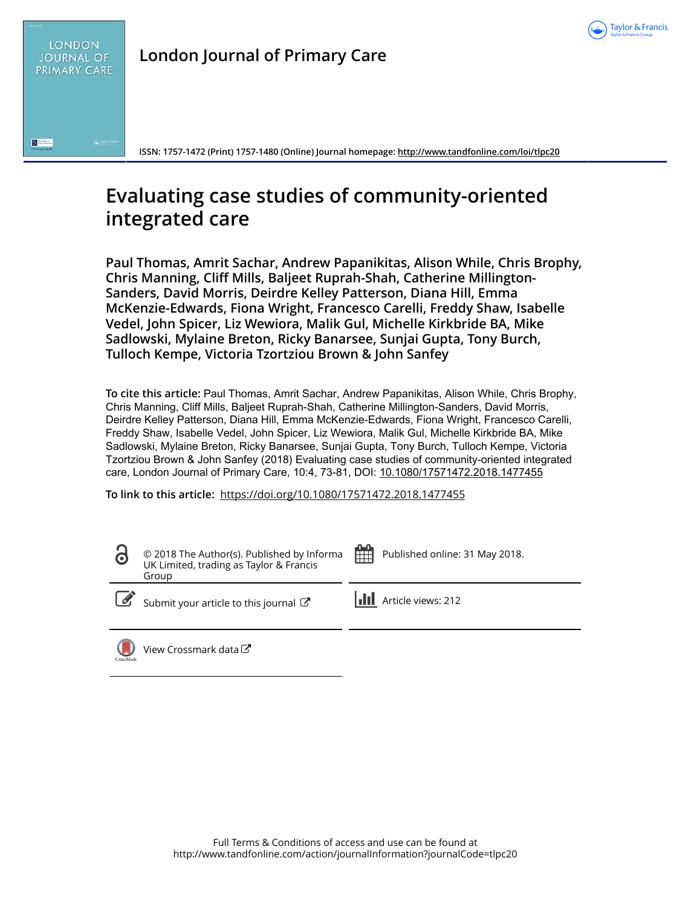



**ISSN: 1757-1472 (Print) 1757-1480 (Online) Journal homepage:<http://www.tandfonline.com/loi/tlpc20>**

# **Evaluating case studies of community-oriented integrated care**

**Paul Thomas, Amrit Sachar, Andrew Papanikitas, Alison While, Chris Brophy, Chris Manning, Cliff Mills, Baljeet Ruprah-Shah, Catherine Millington-Sanders, David Morris, Deirdre Kelley Patterson, Diana Hill, Emma McKenzie-Edwards, Fiona Wright, Francesco Carelli, Freddy Shaw, Isabelle Vedel, John Spicer, Liz Wewiora, Malik Gul, Michelle Kirkbride BA, Mike Sadlowski, Mylaine Breton, Ricky Banarsee, Sunjai Gupta, Tony Burch, Tulloch Kempe, Victoria Tzortziou Brown & John Sanfey**

**To cite this article:** Paul Thomas, Amrit Sachar, Andrew Papanikitas, Alison While, Chris Brophy, Chris Manning, Cliff Mills, Baljeet Ruprah-Shah, Catherine Millington-Sanders, David Morris, Deirdre Kelley Patterson, Diana Hill, Emma McKenzie-Edwards, Fiona Wright, Francesco Carelli, Freddy Shaw, Isabelle Vedel, John Spicer, Liz Wewiora, Malik Gul, Michelle Kirkbride BA, Mike Sadlowski, Mylaine Breton, Ricky Banarsee, Sunjai Gupta, Tony Burch, Tulloch Kempe, Victoria Tzortziou Brown & John Sanfey (2018) Evaluating case studies of community-oriented integrated care, London Journal of Primary Care, 10:4, 73-81, DOI: [10.1080/17571472.2018.1477455](http://www.tandfonline.com/action/showCitFormats?doi=10.1080/17571472.2018.1477455)

**To link to this article:** <https://doi.org/10.1080/17571472.2018.1477455>

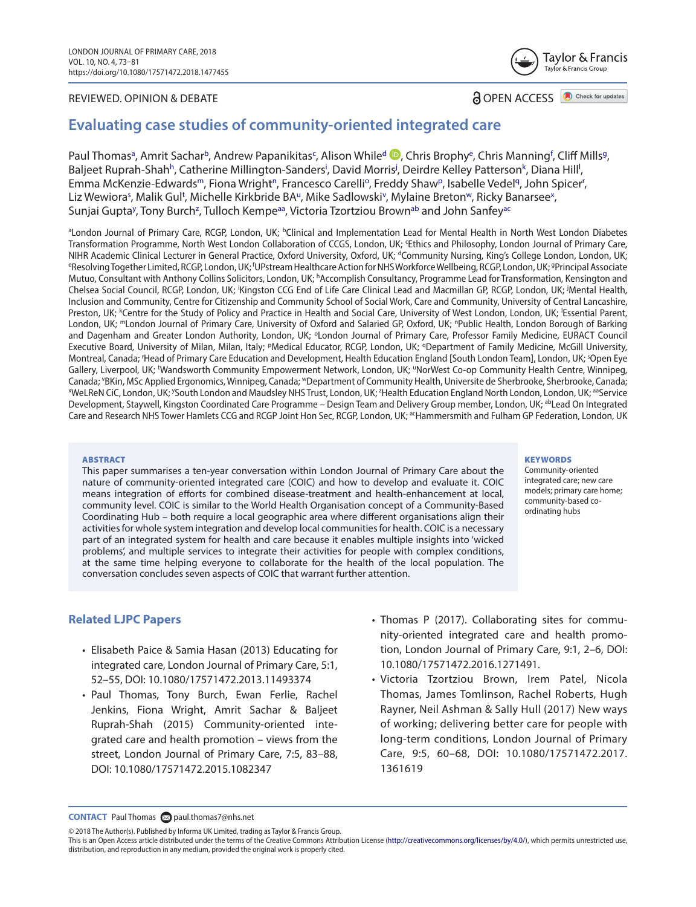#### REVIEWED. OPINION & DEBATE

Tavlor & Francis Group

<span id="page-1-4"></span>Taylor & Francis

<span id="page-1-9"></span><span id="page-1-6"></span>**A OPEN ACCESS** Check for updates

## **Evaluating case studies of community-oriented integrated care**

Paul Thomas<sup>a</sup>, Amrit Sa[c](#page-1-2)har<sup>b</sup>, An[d](#page-1-3)rew Papanikitas<sup>c</sup>[,](http://orcid.org/0000-0003-0955-3472) Alison Whil[e](#page-1-4)<sup>d</sup> D, Chris Brophy<sup>e</sup>, Chris Manning<sup>f</sup>, Cliff Mills<sup>g</sup>, Bal[j](#page-1-9)eet Ruprah-Shah<sup>h</sup>, Catherine Mi[ll](#page-1-11)ington-Sanders<sup>i</sup>, David Morris<sup>j</sup>, Deirdre Kelley Patterson<sup>k</sup>, Diana Hill<sup>i</sup>, Emma McKe[n](#page-1-13)zie-Edwards<sup>m</sup>, Fi[o](#page-1-14)na Wright<su[p](#page-1-15)>n</sup>, F[r](#page-1-17)ancesco Carelli<sup>o</sup>, Freddy Shaw<sup>p</sup>, Isabelle Vedel<sup>q</sup>, John Spicer<sup>r</sup>, Liz Wewiora<[s](#page-1-18)up>s</sup>, Malik Gul<sup>[t](#page-1-19)</s[u](#page-1-20)p>, Michelle Kirkbride BA<sup>u</sup>, Mike Sadlowski<sup>[v](#page-1-21)</sup>, Mylaine Breton<sup>w</sup>, Ricky Banarsee<sup>x</sup>, Sunjai Gupta<sup>y</sup>, Tony Burch<sup>z</sup>, Tulloch Kempe<sup>aa</sup>, Victoria Tzortziou Brown<sup>[ab](#page-1-27)</sup> and John Sanfey<sup>ac</sup>

<span id="page-1-15"></span><span id="page-1-14"></span><span id="page-1-13"></span><span id="page-1-12"></span><span id="page-1-11"></span><span id="page-1-10"></span><span id="page-1-8"></span><span id="page-1-7"></span><span id="page-1-5"></span><span id="page-1-3"></span><span id="page-1-2"></span><span id="page-1-1"></span><span id="page-1-0"></span><sup>a</sup>London Journal of Primary Care, RCGP, London, UK; <sup>b</sup>Clinical and Implementation Lead for Mental Health in North West London Diabetes Transformation Programme, North West London Collaboration of CCGS, London, UK; <sup>c</sup>Ethics and Philosophy, London Journal of Primary Care, NIHR Academic Clinical Lecturer in General Practice, Oxford University, Oxford, UK; dCommunity Nursing, King's College London, London, UK; Resolving Together Limited, RCGP, London, UK; <sup>f</sup>UPstream Healthcare Action for NHS Workforce Wellbeing, RCGP, London, UK; <sup>g</sup>Principal Associate Mutuo, Consultant with Anthony Collins Solicitors, London, UK; hAccomplish Consultancy, Programme Lead for Transformation, Kensington and Chelsea Social Council, RCGP, London, UK; <sup>i</sup>Kingston CCG End of Life Care Clinical Lead and Macmillan GP, RCGP, London, UK; <sup>j</sup>Mental Health, Inclusion and Community, Centre for Citizenship and Community School of Social Work, Care and Community, University of Central Lancashire, Preston, UK; <sup>k</sup>Centre for the Study of Policy and Practice in Health and Social Care, University of West London, London, UK; <sup>I</sup>Essential Parent, London, UK; <sup>m</sup>London Journal of Primary Care, University of Oxford and Salaried GP, Oxford, UK; <sup>n</sup>Public Health, London Borough of Barking and Dagenham and Greater London Authority, London, UK; <sup>o</sup>London Journal of Primary Care, Professor Family Medicine, EURACT Council Executive Board, University of Milan, Milan, Italy; PMedical Educator, RCGP, London, UK; <sup>q</sup>Department of Family Medicine, McGill University, Montreal, Canada; <sup>r</sup>Head of Primary Care Education and Development, Health Education England [South London Team], London, UK; <sup>s</sup>Open Eye Gallery, Liverpool, UK; 'Wandsworth Community Empowerment Network, London, UK; "NorWest Co-op Community Health Centre, Winnipeg, Canada; 'BKin, MSc Applied Ergonomics, Winnipeg, Canada; "Department of Community Health, Universite de Sherbrooke, Sherbrooke, Canada;<br>«Mel BeN GiC Tondon TIK: 'South London and Maudsley NHS Trust Tondon TIK: 'Health Educ WeLReN CiC, London, UK; <sup>y</sup>South London and Maudsley NHS Trust, London, UK; <sup>z</sup>Health Education England North London, London, UK; <sup>aa</sup>Service Development, Staywell, Kingston Coordinated Care Programme – Design Team and Delivery Group member, London, UK; <sup>ab</sup>Lead On Integrated Care and Research NHS Tower Hamlets CCG and RCGP Joint Hon Sec, RCGP, London, UK; <sup>ac</sup>Hammersmith and Fulham GP Federation, London, UK

#### <span id="page-1-28"></span><span id="page-1-27"></span><span id="page-1-25"></span><span id="page-1-24"></span><span id="page-1-22"></span><span id="page-1-21"></span><span id="page-1-20"></span><span id="page-1-19"></span><span id="page-1-18"></span><span id="page-1-17"></span>ABSTRACT

This paper summarises a ten-year conversation within London Journal of Primary Care about the nature of community-oriented integrated care (COIC) and how to develop and evaluate it. COIC means integration of efforts for combined disease-treatment and health-enhancement at local, community level. COIC is similar to the World Health Organisation concept of a Community-Based Coordinating Hub – both require a local geographic area where different organisations align their activities for whole system integration and develop local communities for health. COIC is a necessary part of an integrated system for health and care because it enables multiple insights into 'wicked problems', and multiple services to integrate their activities for people with complex conditions, at the same time helping everyone to collaborate for the health of the local population. The conversation concludes seven aspects of COIC that warrant further attention.

#### <span id="page-1-26"></span><span id="page-1-23"></span><span id="page-1-16"></span>**KEYWORDS**

Community-oriented integrated care; new care models; primary care home; community-based coordinating hubs

#### **Related LJPC Papers**

- Elisabeth Paice & Samia Hasan (2013) Educating for integrated care, London Journal of Primary Care, 5:1, 52–55, DOI: 10.1080/17571472.2013.11493374
- Paul Thomas, Tony Burch, Ewan Ferlie, Rachel Jenkins, Fiona Wright, Amrit Sachar & Baljeet Ruprah-Shah (2015) Community-oriented integrated care and health promotion – views from the street, London Journal of Primary Care, 7:5, 83–88, DOI: 10.1080/17571472.2015.1082347
- Thomas P (2017). Collaborating sites for community-oriented integrated care and health promotion, London Journal of Primary Care, 9:1, 2–6, DOI: 10.1080/17571472.2016.1271491.
- Victoria Tzortziou Brown, Irem Patel, Nicola Thomas, James Tomlinson, Rachel Roberts, Hugh Rayner, Neil Ashman & Sally Hull (2017) New ways of working; delivering better care for people with long-term conditions, London Journal of Primary Care, 9:5, 60–68, DOI: 10.1080/17571472.2017. 1361619

© 2018 The Author(s). Published by Informa UK Limited, trading as Taylor & Francis Group.

**CONTACT** Paul Thomas **paul.thomas7@nhs.net** 

This is an Open Access article distributed under the terms of the Creative Commons Attribution License (<http://creativecommons.org/licenses/by/4.0/>), which permits unrestricted use, distribution, and reproduction in any medium, provided the original work is properly cited.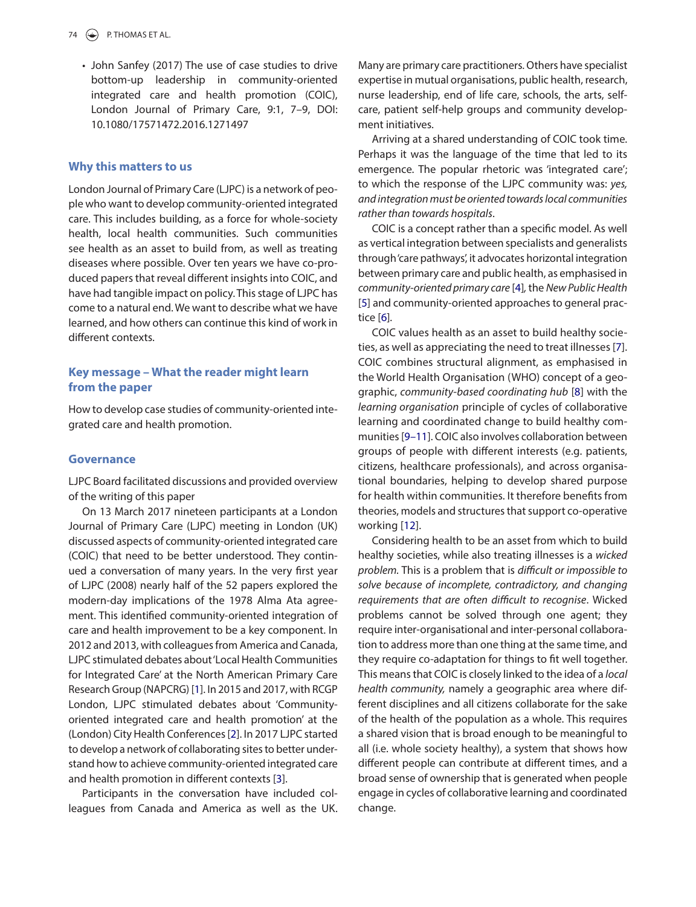• John Sanfey (2017) The use of case studies to drive bottom-up leadership in community-oriented integrated care and health promotion (COIC), London Journal of Primary Care, 9:1, 7–9, DOI: 10.1080/17571472.2016.1271497

#### **Why this matters to us**

London Journal of Primary Care (LJPC) is a network of people who want to develop community-oriented integrated care. This includes building, as a force for whole-society health, local health communities. Such communities see health as an asset to build from, as well as treating diseases where possible. Over ten years we have co-produced papers that reveal different insights into COIC, and have had tangible impact on policy. This stage of LJPC has come to a natural end. We want to describe what we have learned, and how others can continue this kind of work in different contexts.

## **Key message – What the reader might learn from the paper**

How to develop case studies of community-oriented integrated care and health promotion.

#### **Governance**

LJPC Board facilitated discussions and provided overview of the writing of this paper

On 13 March 2017 nineteen participants at a London Journal of Primary Care (LJPC) meeting in London (UK) discussed aspects of community-oriented integrated care (COIC) that need to be better understood. They continued a conversation of many years. In the very first year of LJPC (2008) nearly half of the 52 papers explored the modern-day implications of the 1978 Alma Ata agreement. This identified community-oriented integration of care and health improvement to be a key component. In 2012 and 2013, with colleagues from America and Canada, LJPC stimulated debates about 'Local Health Communities for Integrated Care' at the North American Primary Care Research Group (NAPCRG) [\[1](#page-8-7)]. In 2015 and 2017, with RCGP London, LJPC stimulated debates about 'Communityoriented integrated care and health promotion' at the (London) City Health Conferences [[2](#page-8-8)]. In 2017 LJPC started to develop a network of collaborating sites to better understand how to achieve community-oriented integrated care and health promotion in different contexts [[3\]](#page-8-9).

Participants in the conversation have included colleagues from Canada and America as well as the UK. Many are primary care practitioners. Others have specialist expertise in mutual organisations, public health, research, nurse leadership, end of life care, schools, the arts, selfcare, patient self-help groups and community development initiatives.

Arriving at a shared understanding of COIC took time. Perhaps it was the language of the time that led to its emergence. The popular rhetoric was 'integrated care'; to which the response of the LJPC community was: *yes, and integration must be oriented towards local communities rather than towards hospitals*.

COIC is a concept rather than a specific model. As well as vertical integration between specialists and generalists through 'care pathways', it advocates horizontal integration between primary care and public health, as emphasised in *community*-*oriented primary care* [\[4](#page-8-0)]*,* the *New Public Health* [[5\]](#page-8-1) and community-oriented approaches to general practice [[6\]](#page-8-2)*.*

<span id="page-2-7"></span><span id="page-2-6"></span><span id="page-2-5"></span><span id="page-2-4"></span><span id="page-2-3"></span>COIC values health as an asset to build healthy societies, as well as appreciating the need to treat illnesses [\[7](#page-8-3)]. COIC combines structural alignment, as emphasised in the World Health Organisation (WHO) concept of a geographic, *community*-*based coordinating hub* [\[8](#page-8-4)] with the *learning organisation* principle of cycles of collaborative learning and coordinated change to build healthy communities [\[9–11](#page-8-5)]. COIC also involves collaboration between groups of people with different interests (e.g. patients, citizens, healthcare professionals), and across organisational boundaries, helping to develop shared purpose for health within communities. It therefore benefits from theories, models and structures that support co-operative working [[12](#page-8-6)].

<span id="page-2-8"></span><span id="page-2-2"></span><span id="page-2-1"></span><span id="page-2-0"></span>Considering health to be an asset from which to build healthy societies, while also treating illnesses is a *wicked problem.* This is a problem that is *difficult or impossible to solve because of incomplete, contradictory, and changing requirements that are often difficult to recognise*. Wicked problems cannot be solved through one agent; they require inter-organisational and inter-personal collaboration to address more than one thing at the same time, and they require co-adaptation for things to fit well together. This means that COIC is closely linked to the idea of a *local health community,* namely a geographic area where different disciplines and all citizens collaborate for the sake of the health of the population as a whole. This requires a shared vision that is broad enough to be meaningful to all (i.e. whole society healthy), a system that shows how different people can contribute at different times, and a broad sense of ownership that is generated when people engage in cycles of collaborative learning and coordinated change.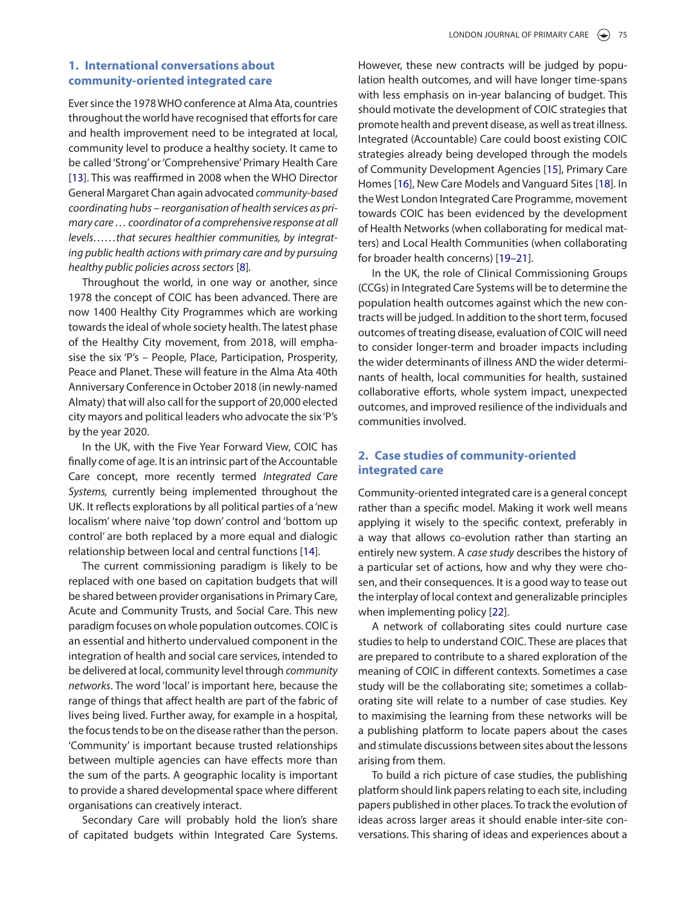## **1. International conversations about community-oriented integrated care**

<span id="page-3-0"></span>Ever since the 1978 WHO conference at Alma Ata, countries throughout the world have recognised that efforts for care and health improvement need to be integrated at local, community level to produce a healthy society. It came to be called 'Strong' or 'Comprehensive' Primary Health Care [[13](#page-8-10)]. This was reaffirmed in 2008 when the WHO Director General Margaret Chan again advocated *community*-*based coordinating hubs* – *reorganisation of health services as primary care … coordinator of a comprehensive response at all levels……that secures healthier communities, by integrating public health actions with primary care and by pursuing healthy public policies across sectors* [[8](#page-8-4)]*.*

Throughout the world, in one way or another, since 1978 the concept of COIC has been advanced. There are now 1400 Healthy City Programmes which are working towards the ideal of whole society health. The latest phase of the Healthy City movement, from 2018, will emphasise the six 'P's – People, Place, Participation, Prosperity, Peace and Planet. These will feature in the Alma Ata 40th Anniversary Conference in October 2018 (in newly-named Almaty) that will also call for the support of 20,000 elected city mayors and political leaders who advocate the six 'P's by the year 2020.

In the UK, with the Five Year Forward View, COIC has finally come of age. It is an intrinsic part of the Accountable Care concept, more recently termed *Integrated Care Systems,* currently being implemented throughout the UK. It reflects explorations by all political parties of a 'new localism' where naive 'top down' control and 'bottom up control' are both replaced by a more equal and dialogic relationship between local and central functions [\[14\]](#page-8-11).

The current commissioning paradigm is likely to be replaced with one based on capitation budgets that will be shared between provider organisations in Primary Care, Acute and Community Trusts, and Social Care. This new paradigm focuses on whole population outcomes. COIC is an essential and hitherto undervalued component in the integration of health and social care services, intended to be delivered at local, community level through *community networks*. The word 'local' is important here, because the range of things that affect health are part of the fabric of lives being lived. Further away, for example in a hospital, the focus tends to be on the disease rather than the person. 'Community' is important because trusted relationships between multiple agencies can have effects more than the sum of the parts. A geographic locality is important to provide a shared developmental space where different organisations can creatively interact.

Secondary Care will probably hold the lion's share of capitated budgets within Integrated Care Systems. <span id="page-3-2"></span>However, these new contracts will be judged by population health outcomes, and will have longer time-spans with less emphasis on in-year balancing of budget. This should motivate the development of COIC strategies that promote health and prevent disease, as well as treat illness. Integrated (Accountable) Care could boost existing COIC strategies already being developed through the models of Community Development Agencies [[15\]](#page-8-12), Primary Care Homes [[16](#page-8-13)], New Care Models and Vanguard Sites [\[18](#page-8-14)]. In the West London Integrated Care Programme, movement towards COIC has been evidenced by the development of Health Networks (when collaborating for medical matters) and Local Health Communities (when collaborating for broader health concerns) [[19–21](#page-8-15)].

<span id="page-3-4"></span><span id="page-3-3"></span>In the UK, the role of Clinical Commissioning Groups (CCGs) in Integrated Care Systems will be to determine the population health outcomes against which the new contracts will be judged. In addition to the short term, focused outcomes of treating disease, evaluation of COIC will need to consider longer-term and broader impacts including the wider determinants of illness AND the wider determinants of health, local communities for health, sustained collaborative efforts, whole system impact, unexpected outcomes, and improved resilience of the individuals and communities involved.

## **2. Case studies of community-oriented integrated care**

<span id="page-3-1"></span>Community-oriented integrated care is a general concept rather than a specific model. Making it work well means applying it wisely to the specific context, preferably in a way that allows co-evolution rather than starting an entirely new system. A *case study* describes the history of a particular set of actions, how and why they were chosen, and their consequences. It is a good way to tease out the interplay of local context and generalizable principles when implementing policy [\[22](#page-8-16)].

<span id="page-3-5"></span>A network of collaborating sites could nurture case studies to help to understand COIC. These are places that are prepared to contribute to a shared exploration of the meaning of COIC in different contexts. Sometimes a case study will be the collaborating site; sometimes a collaborating site will relate to a number of case studies. Key to maximising the learning from these networks will be a publishing platform to locate papers about the cases and stimulate discussions between sites about the lessons arising from them.

To build a rich picture of case studies, the publishing platform should link papers relating to each site, including papers published in other places. To track the evolution of ideas across larger areas it should enable inter-site conversations. This sharing of ideas and experiences about a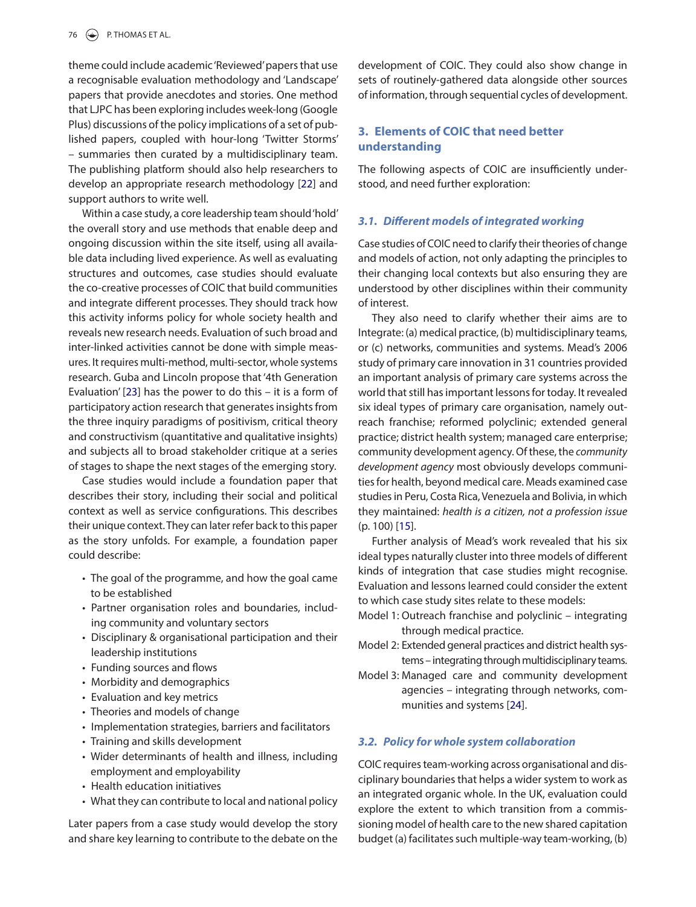theme could include academic 'Reviewed' papers that use a recognisable evaluation methodology and 'Landscape' papers that provide anecdotes and stories. One method that LJPC has been exploring includes week-long (Google Plus) discussions of the policy implications of a set of published papers, coupled with hour-long 'Twitter Storms' – summaries then curated by a multidisciplinary team. The publishing platform should also help researchers to develop an appropriate research methodology [[22\]](#page-8-16) and support authors to write well.

Within a case study, a core leadership team should 'hold' the overall story and use methods that enable deep and ongoing discussion within the site itself, using all available data including lived experience. As well as evaluating structures and outcomes, case studies should evaluate the co-creative processes of COIC that build communities and integrate different processes. They should track how this activity informs policy for whole society health and reveals new research needs. Evaluation of such broad and inter-linked activities cannot be done with simple measures. It requires multi-method, multi-sector, whole systems research. Guba and Lincoln propose that '4th Generation Evaluation' [\[23](#page-8-18)] has the power to do this – it is a form of participatory action research that generates insights from the three inquiry paradigms of positivism, critical theory and constructivism (quantitative and qualitative insights) and subjects all to broad stakeholder critique at a series of stages to shape the next stages of the emerging story.

<span id="page-4-0"></span>Case studies would include a foundation paper that describes their story, including their social and political context as well as service configurations. This describes their unique context. They can later refer back to this paper as the story unfolds. For example, a foundation paper could describe:

- The goal of the programme, and how the goal came to be established
- Partner organisation roles and boundaries, including community and voluntary sectors
- Disciplinary & organisational participation and their leadership institutions
- Funding sources and flows
- Morbidity and demographics
- Evaluation and key metrics
- Theories and models of change
- Implementation strategies, barriers and facilitators
- Training and skills development
- Wider determinants of health and illness, including employment and employability
- Health education initiatives
- What they can contribute to local and national policy

Later papers from a case study would develop the story and share key learning to contribute to the debate on the development of COIC. They could also show change in sets of routinely-gathered data alongside other sources of information, through sequential cycles of development.

## **3. Elements of COIC that need better understanding**

The following aspects of COIC are insufficiently understood, and need further exploration:

#### *3.1. Different models of integrated working*

Case studies of COIC need to clarify their theories of change and models of action, not only adapting the principles to their changing local contexts but also ensuring they are understood by other disciplines within their community of interest.

They also need to clarify whether their aims are to Integrate: (a) medical practice, (b) multidisciplinary teams, or (c) networks, communities and systems. Mead's 2006 study of primary care innovation in 31 countries provided an important analysis of primary care systems across the world that still has important lessons for today. It revealed six ideal types of primary care organisation, namely outreach franchise; reformed polyclinic; extended general practice; district health system; managed care enterprise; community development agency. Of these, the *community development agency* most obviously develops communities for health, beyond medical care. Meads examined case studies in Peru, Costa Rica, Venezuela and Bolivia, in which they maintained: *health is a citizen, not a profession issue* (p. 100) [\[15\]](#page-8-12).

Further analysis of Mead's work revealed that his six ideal types naturally cluster into three models of different kinds of integration that case studies might recognise. Evaluation and lessons learned could consider the extent to which case study sites relate to these models:

- Model 1: Outreach franchise and polyclinic integrating through medical practice.
- Model 2: Extended general practices and district health systems – integrating through multidisciplinary teams.
- <span id="page-4-1"></span>Model 3: Managed care and community development agencies – integrating through networks, communities and systems [\[24\]](#page-8-17).

#### *3.2. Policy for whole system collaboration*

COIC requires team-working across organisational and disciplinary boundaries that helps a wider system to work as an integrated organic whole. In the UK, evaluation could explore the extent to which transition from a commissioning model of health care to the new shared capitation budget (a) facilitates such multiple-way team-working, (b)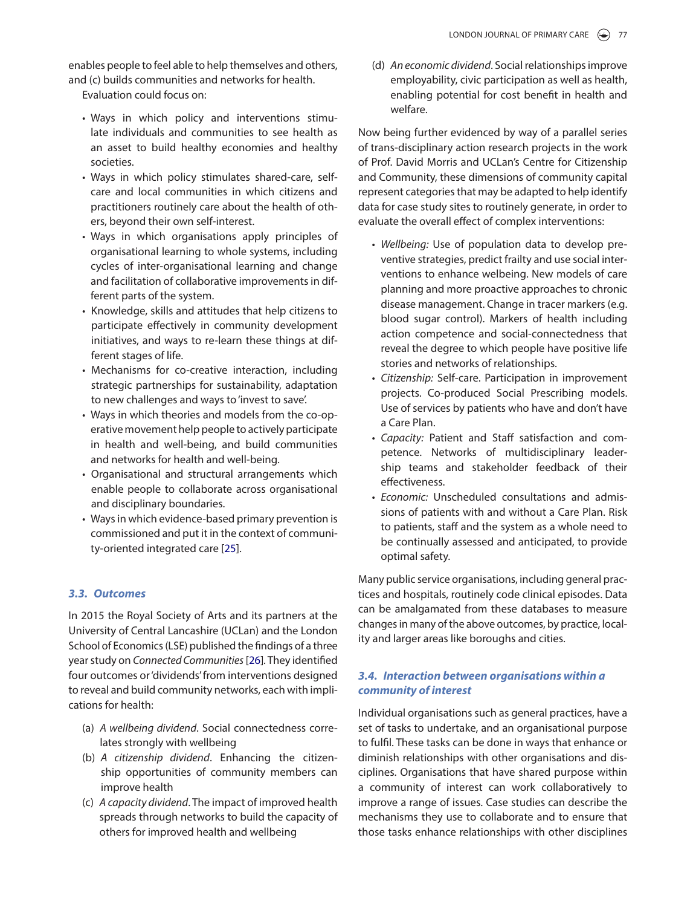enables people to feel able to help themselves and others, and (c) builds communities and networks for health.

Evaluation could focus on:

- Ways in which policy and interventions stimulate individuals and communities to see health as an asset to build healthy economies and healthy societies.
- Ways in which policy stimulates shared-care, selfcare and local communities in which citizens and practitioners routinely care about the health of others, beyond their own self-interest.
- Ways in which organisations apply principles of organisational learning to whole systems, including cycles of inter-organisational learning and change and facilitation of collaborative improvements in different parts of the system.
- Knowledge, skills and attitudes that help citizens to participate effectively in community development initiatives, and ways to re-learn these things at different stages of life.
- Mechanisms for co-creative interaction, including strategic partnerships for sustainability, adaptation to new challenges and ways to 'invest to save'.
- Ways in which theories and models from the co-operative movement help people to actively participate in health and well-being, and build communities and networks for health and well-being.
- Organisational and structural arrangements which enable people to collaborate across organisational and disciplinary boundaries.
- Ways in which evidence-based primary prevention is commissioned and put it in the context of community-oriented integrated care [[25\]](#page-8-19).

## *3.3. Outcomes*

In 2015 the Royal Society of Arts and its partners at the University of Central Lancashire (UCLan) and the London School of Economics (LSE) published the findings of a three year study on *Connected Communities* [[26](#page-8-20)]*.* They identified four outcomes or 'dividends' from interventions designed to reveal and build community networks, each with implications for health:

- (a) *A wellbeing dividend*. Social connectedness correlates strongly with wellbeing
- (b) *A citizenship dividend*. Enhancing the citizenship opportunities of community members can improve health
- (c) *A capacity dividend*. The impact of improved health spreads through networks to build the capacity of others for improved health and wellbeing

(d) *An economic dividend*. Social relationships improve employability, civic participation as well as health, enabling potential for cost benefit in health and welfare.

Now being further evidenced by way of a parallel series of trans-disciplinary action research projects in the work of Prof. David Morris and UCLan's Centre for Citizenship and Community, these dimensions of community capital represent categories that may be adapted to help identify data for case study sites to routinely generate, in order to evaluate the overall effect of complex interventions:

- *Wellbeing:* Use of population data to develop preventive strategies, predict frailty and use social interventions to enhance welbeing. New models of care planning and more proactive approaches to chronic disease management. Change in tracer markers (e.g. blood sugar control). Markers of health including action competence and social-connectedness that reveal the degree to which people have positive life stories and networks of relationships.
- *Citizenship:* Self-care. Participation in improvement projects. Co-produced Social Prescribing models. Use of services by patients who have and don't have a Care Plan.
- *Capacity:* Patient and Staff satisfaction and competence. Networks of multidisciplinary leadership teams and stakeholder feedback of their effectiveness.
- *Economic:* Unscheduled consultations and admissions of patients with and without a Care Plan. Risk to patients, staff and the system as a whole need to be continually assessed and anticipated, to provide optimal safety.

<span id="page-5-0"></span>Many public service organisations, including general practices and hospitals, routinely code clinical episodes. Data can be amalgamated from these databases to measure changes in many of the above outcomes, by practice, locality and larger areas like boroughs and cities.

## <span id="page-5-1"></span>*3.4. Interaction between organisations within a community of interest*

Individual organisations such as general practices, have a set of tasks to undertake, and an organisational purpose to fulfil. These tasks can be done in ways that enhance or diminish relationships with other organisations and disciplines. Organisations that have shared purpose within a community of interest can work collaboratively to improve a range of issues. Case studies can describe the mechanisms they use to collaborate and to ensure that those tasks enhance relationships with other disciplines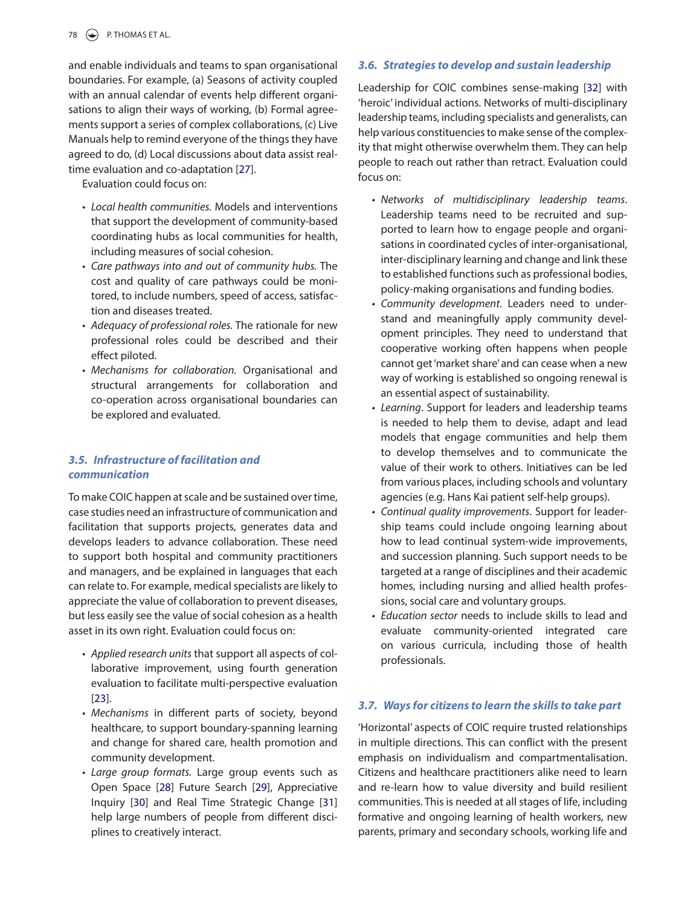and enable individuals and teams to span organisational boundaries. For example, (a) Seasons of activity coupled with an annual calendar of events help different organisations to align their ways of working, (b) Formal agreements support a series of complex collaborations, (c) Live Manuals help to remind everyone of the things they have agreed to do, (d) Local discussions about data assist realtime evaluation and co-adaptation [\[27](#page-8-21)].

Evaluation could focus on:

- *Local health communities.* Models and interventions that support the development of community-based coordinating hubs as local communities for health, including measures of social cohesion.
- *Care pathways into and out of community hubs.* The cost and quality of care pathways could be monitored, to include numbers, speed of access, satisfaction and diseases treated.
- *Adequacy of professional roles.* The rationale for new professional roles could be described and their effect piloted.
- *Mechanisms for collaboration.* Organisational and structural arrangements for collaboration and co-operation across organisational boundaries can be explored and evaluated.

## *3.5. Infrastructure of facilitation and communication*

To make COIC happen at scale and be sustained over time, case studies need an infrastructure of communication and facilitation that supports projects, generates data and develops leaders to advance collaboration. These need to support both hospital and community practitioners and managers, and be explained in languages that each can relate to. For example, medical specialists are likely to appreciate the value of collaboration to prevent diseases, but less easily see the value of social cohesion as a health asset in its own right. Evaluation could focus on:

- *Applied research units* that support all aspects of collaborative improvement, using fourth generation evaluation to facilitate multi-perspective evaluation [[23\]](#page-8-18).
- *Mechanisms* in different parts of society, beyond healthcare, to support boundary-spanning learning and change for shared care, health promotion and community development.
- <span id="page-6-3"></span>• *Large group formats.* Large group events such as Open Space [\[28\]](#page-8-22) Future Search [[29\]](#page-8-23), Appreciative Inquiry [[30](#page-8-24)] and Real Time Strategic Change [[31\]](#page-8-25) help large numbers of people from different disciplines to creatively interact.

### *3.6. Strategies to develop and sustain leadership*

<span id="page-6-5"></span>Leadership for COIC combines sense-making [[32](#page-9-0)] with 'heroic' individual actions. Networks of multi-disciplinary leadership teams, including specialists and generalists, can help various constituencies to make sense of the complexity that might otherwise overwhelm them. They can help people to reach out rather than retract. Evaluation could focus on:

- <span id="page-6-0"></span>• *Networks of multidisciplinary leadership teams*. Leadership teams need to be recruited and supported to learn how to engage people and organisations in coordinated cycles of inter-organisational, inter-disciplinary learning and change and link these to established functions such as professional bodies, policy-making organisations and funding bodies.
- *Community development*. Leaders need to understand and meaningfully apply community development principles. They need to understand that cooperative working often happens when people cannot get 'market share' and can cease when a new way of working is established so ongoing renewal is an essential aspect of sustainability.
- *Learning*. Support for leaders and leadership teams is needed to help them to devise, adapt and lead models that engage communities and help them to develop themselves and to communicate the value of their work to others. Initiatives can be led from various places, including schools and voluntary agencies (e.g. Hans Kai patient self-help groups).
- *Continual quality improvements*. Support for leadership teams could include ongoing learning about how to lead continual system-wide improvements, and succession planning. Such support needs to be targeted at a range of disciplines and their academic homes, including nursing and allied health professions, social care and voluntary groups.
- *Education sector* needs to include skills to lead and evaluate community-oriented integrated care on various curricula, including those of health professionals.

#### *3.7. Ways for citizens to learn the skills to take part*

<span id="page-6-4"></span><span id="page-6-2"></span><span id="page-6-1"></span>'Horizontal' aspects of COIC require trusted relationships in multiple directions. This can conflict with the present emphasis on individualism and compartmentalisation. Citizens and healthcare practitioners alike need to learn and re-learn how to value diversity and build resilient communities. This is needed at all stages of life, including formative and ongoing learning of health workers, new parents, primary and secondary schools, working life and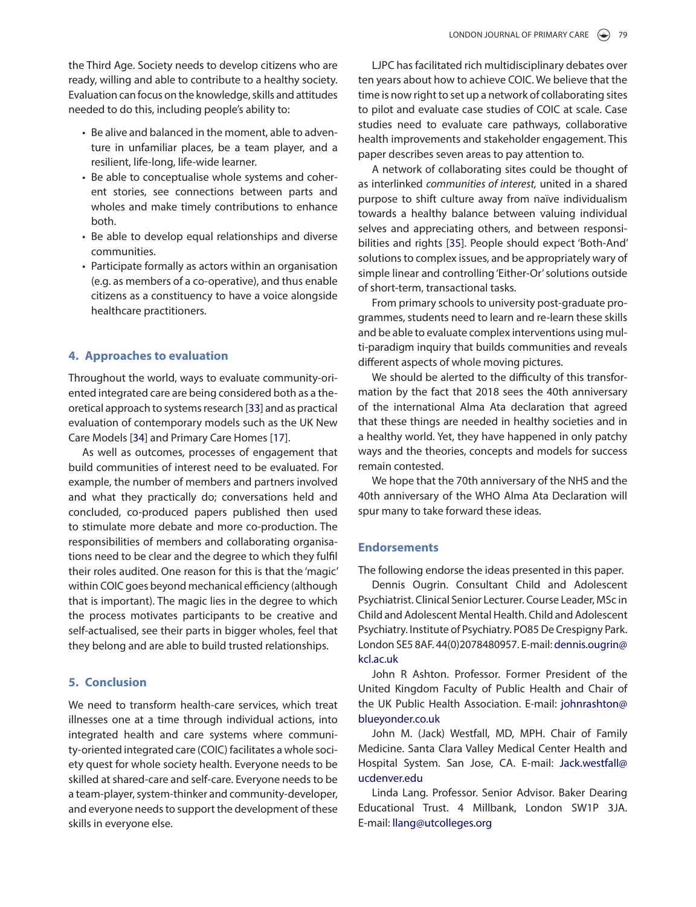the Third Age. Society needs to develop citizens who are ready, willing and able to contribute to a healthy society. Evaluation can focus on the knowledge, skills and attitudes needed to do this, including people's ability to:

- Be alive and balanced in the moment, able to adventure in unfamiliar places, be a team player, and a resilient, life-long, life-wide learner.
- Be able to conceptualise whole systems and coherent stories, see connections between parts and wholes and make timely contributions to enhance both.
- Be able to develop equal relationships and diverse communities.
- Participate formally as actors within an organisation (e.g. as members of a co-operative), and thus enable citizens as a constituency to have a voice alongside healthcare practitioners.

#### **4. Approaches to evaluation**

Throughout the world, ways to evaluate community-oriented integrated care are being considered both as a theoretical approach to systems research [[33\]](#page-9-2) and as practical evaluation of contemporary models such as the UK New Care Models [\[34\]](#page-9-3) and Primary Care Homes [\[17](#page-8-26)].

<span id="page-7-1"></span>As well as outcomes, processes of engagement that build communities of interest need to be evaluated. For example, the number of members and partners involved and what they practically do; conversations held and concluded, co-produced papers published then used to stimulate more debate and more co-production. The responsibilities of members and collaborating organisations need to be clear and the degree to which they fulfil their roles audited. One reason for this is that the 'magic' within COIC goes beyond mechanical efficiency (although that is important). The magic lies in the degree to which the process motivates participants to be creative and self-actualised, see their parts in bigger wholes, feel that they belong and are able to build trusted relationships.

## **5. Conclusion**

We need to transform health-care services, which treat illnesses one at a time through individual actions, into integrated health and care systems where community-oriented integrated care (COIC) facilitates a whole society quest for whole society health. Everyone needs to be skilled at shared-care and self-care. Everyone needs to be a team-player, system-thinker and community-developer, and everyone needs to support the development of these skills in everyone else.

LJPC has facilitated rich multidisciplinary debates over ten years about how to achieve COIC. We believe that the time is now right to set up a network of collaborating sites to pilot and evaluate case studies of COIC at scale. Case studies need to evaluate care pathways, collaborative health improvements and stakeholder engagement. This paper describes seven areas to pay attention to.

A network of collaborating sites could be thought of as interlinked *communities of interest,* united in a shared purpose to shift culture away from naïve individualism towards a healthy balance between valuing individual selves and appreciating others, and between responsibilities and rights [[35\]](#page-9-1). People should expect 'Both-And' solutions to complex issues, and be appropriately wary of simple linear and controlling 'Either-Or' solutions outside of short-term, transactional tasks.

<span id="page-7-2"></span>From primary schools to university post-graduate programmes, students need to learn and re-learn these skills and be able to evaluate complex interventions using multi-paradigm inquiry that builds communities and reveals different aspects of whole moving pictures.

<span id="page-7-3"></span>We should be alerted to the difficulty of this transformation by the fact that 2018 sees the 40th anniversary of the international Alma Ata declaration that agreed that these things are needed in healthy societies and in a healthy world. Yet, they have happened in only patchy ways and the theories, concepts and models for success remain contested.

<span id="page-7-0"></span>We hope that the 70th anniversary of the NHS and the 40th anniversary of the WHO Alma Ata Declaration will spur many to take forward these ideas.

#### **Endorsements**

The following endorse the ideas presented in this paper.

Dennis Ougrin. Consultant Child and Adolescent Psychiatrist. Clinical Senior Lecturer. Course Leader, MSc in Child and Adolescent Mental Health. Child and Adolescent Psychiatry. Institute of Psychiatry. PO85 De Crespigny Park. London SE5 8AF. 44(0)2078480957. E-mail: [dennis.ougrin@](mailto:dennis.ougrin@kcl.ac.uk) [kcl.ac.uk](mailto:dennis.ougrin@kcl.ac.uk)

John R Ashton. Professor. Former President of the United Kingdom Faculty of Public Health and Chair of the UK Public Health Association. E-mail: [johnrashton@](mailto:johnrashton@blueyonder.co.uk) [blueyonder.co.uk](mailto:johnrashton@blueyonder.co.uk)

John M. (Jack) Westfall, MD, MPH. Chair of Family Medicine. Santa Clara Valley Medical Center Health and Hospital System. San Jose, CA. E-mail: [Jack.westfall@](mailto:Jack.westfall@ucdenver.edu) [ucdenver.edu](mailto:Jack.westfall@ucdenver.edu)

Linda Lang. Professor. Senior Advisor. Baker Dearing Educational Trust. 4 Millbank, London SW1P 3JA. E-mail: [llang@utcolleges.org](mailto:llang@utcolleges.org)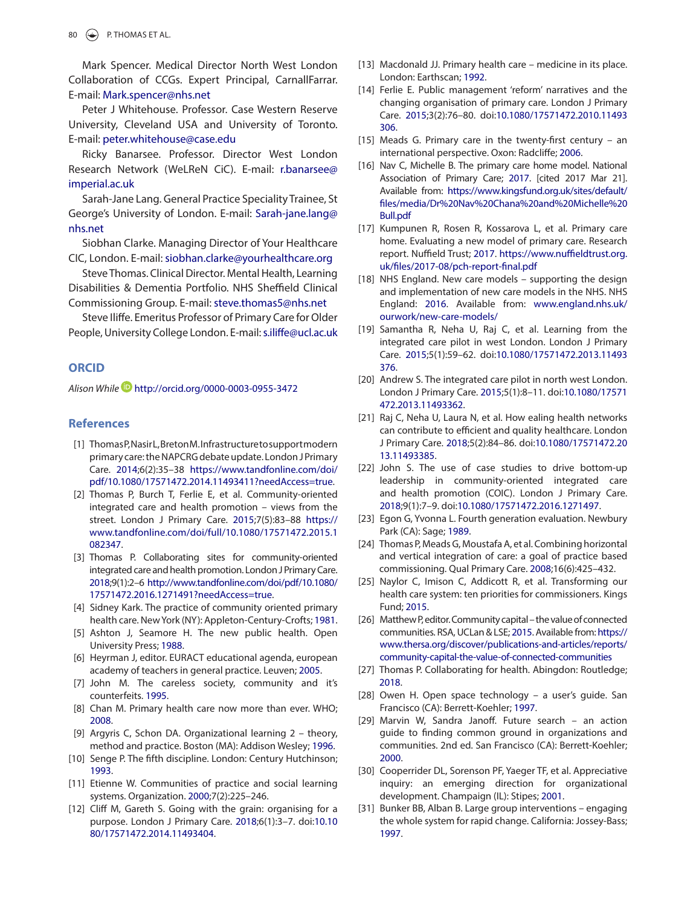Mark Spencer. Medical Director North West London Collaboration of CCGs. Expert Principal, CarnallFarrar. E-mail: [Mark.spencer@nhs.net](mailto:Mark.spencer@nhs.net)

Peter J Whitehouse. Professor. Case Western Reserve University, Cleveland USA and University of Toronto. E-mail: [peter.whitehouse@case.edu](mailto:peter.whitehouse@case.edu)

Ricky Banarsee. Professor. Director West London Research Network (WeLReN CiC). E-mail: [r.banarsee@](mailto:r.banarsee@imperial.ac.uk) [imperial.ac.uk](mailto:r.banarsee@imperial.ac.uk)

Sarah-Jane Lang. General Practice Speciality Trainee, St George's University of London. E-mail: [Sarah-jane.lang@](mailto:Sarah-jane.lang@nhs.net) [nhs.net](mailto:Sarah-jane.lang@nhs.net)

Siobhan Clarke. Managing Director of Your Healthcare CIC, London. E-mail: [siobhan.clarke@yourhealthcare.org](mailto:siobhan.clarke@yourhealthcare.org)

Steve Thomas. Clinical Director. Mental Health, Learning Disabilities & Dementia Portfolio. NHS Sheffield Clinical Commissioning Group. E-mail: [steve.thomas5@nhs.net](mailto:steve.thomas5@nhs.net)

Steve Iliffe. Emeritus Professor of Primary Care for Older People, University College London. E-mail: [s.iliffe@ucl.ac.uk](mailto:s.iliffe@ucl.ac.uk)

#### **ORCID**

*Alison Whil[e](http://orcid.org)*  <http://orcid.org/0000-0003-0955-3472>

#### **References**

- <span id="page-8-7"></span>[1] Thomas P, Nasir L, Breton M. Infrastructure to support modern primary care: the NAPCRG debate update. London J Primary Care. [2014](#page-2-0);6(2):35–38 [https://www.tandfonline.com/doi/](https://www.tandfonline.com/doi/pdf/10.1080/17571472.2014.11493411?needAccess=true) [pdf/10.1080/17571472.2014.11493411?needAccess=true](https://www.tandfonline.com/doi/pdf/10.1080/17571472.2014.11493411?needAccess=true).
- <span id="page-8-8"></span>[2] Thomas P, Burch T, Ferlie E, et al. Community-oriented integrated care and health promotion – views from the street. London J Primary Care. [2015;](#page-2-1)7(5):83–88 [https://](https://www.tandfonline.com/doi/full/10.1080/17571472.2015.1082347) [www.tandfonline.com/doi/full/10.1080/17571472.2015.1](https://www.tandfonline.com/doi/full/10.1080/17571472.2015.1082347) [082347](https://www.tandfonline.com/doi/full/10.1080/17571472.2015.1082347).
- <span id="page-8-9"></span>[3] Thomas P. Collaborating sites for community-oriented integrated care and health promotion. London J Primary Care. [2018](#page-2-2);9(1):2–6 [http://www.tandfonline.com/doi/pdf/10.1080/](http://www.tandfonline.com/doi/pdf/10.1080/17571472.2016.1271491?needAccess=true) [17571472.2016.1271491?needAccess=true](http://www.tandfonline.com/doi/pdf/10.1080/17571472.2016.1271491?needAccess=true).
- <span id="page-8-0"></span>[4] Sidney Kark. The practice of community oriented primary health care. New York (NY): Appleton-Century-Crofts; [1981.](#page-2-3)
- <span id="page-8-1"></span>[5] Ashton J, Seamore H. The new public health. Open University Press; [1988.](#page-2-4)
- <span id="page-8-2"></span>[6] Heyrman J, editor. EURACT educational agenda, european academy of teachers in general practice. Leuven; [2005](#page-2-5).
- <span id="page-8-3"></span>[7] John M. The careless society, community and it's counterfeits. [1995](#page-2-6).
- <span id="page-8-4"></span>[8] Chan M. Primary health care now more than ever. WHO; [2008](#page-2-7).
- <span id="page-8-5"></span>[9] Argyris C, Schon DA. Organizational learning 2 – theory, method and practice. Boston (MA): Addison Wesley; 1996.
- [10] Senge P. The fifth discipline. London: Century Hutchinson; 1993.
- [11] Etienne W. Communities of practice and social learning systems. Organization. 2000;7(2):225–246.
- <span id="page-8-6"></span>[12] Cliff M, Gareth S. Going with the grain: organising for a purpose. London J Primary Care. [2018;](#page-2-8)6(1):3–7. doi[:10.10](https://doi.org/10.1080/17571472.2014.11493404) [80/17571472.2014.11493404](https://doi.org/10.1080/17571472.2014.11493404).
- <span id="page-8-10"></span>[13] Macdonald JJ. Primary health care – medicine in its place. London: Earthscan; [1992](#page-3-0).
- <span id="page-8-11"></span>[14] Ferlie E. Public management 'reform' narratives and the changing organisation of primary care. London J Primary Care. [2015;](#page-3-1)3(2):76–80. doi:[10.1080/17571472.2010.11493](https://doi.org/10.1080/17571472.2010.11493306) [306](https://doi.org/10.1080/17571472.2010.11493306).
- <span id="page-8-12"></span>[15] Meads G. Primary care in the twenty-first century – an international perspective. Oxon: Radcliffe; [2006.](#page-3-2)
- <span id="page-8-13"></span>[16] Nav C, Michelle B. The primary care home model. National Association of Primary Care; [2017](#page-3-3). [cited 2017 Mar 21]. Available from: [https://www.kingsfund.org.uk/sites/default/](https://www.kingsfund.org.uk/sites/default/files/media/Dr%20Nav%20Chana%20and%20Michelle%20Bull.pdf) [files/media/Dr%20Nav%20Chana%20and%20Michelle%20](https://www.kingsfund.org.uk/sites/default/files/media/Dr%20Nav%20Chana%20and%20Michelle%20Bull.pdf) [Bull.pdf](https://www.kingsfund.org.uk/sites/default/files/media/Dr%20Nav%20Chana%20and%20Michelle%20Bull.pdf)
- <span id="page-8-26"></span>[17] Kumpunen R, Rosen R, Kossarova L, et al. Primary care home. Evaluating a new model of primary care. Research report. Nuffield Trust; [2017](#page-7-0). [https://www.nuffieldtrust.org.](https://www.nuffieldtrust.org.uk/files/2017-08/pch-report-final.pdf) [uk/files/2017-08/pch-report-final.pdf](https://www.nuffieldtrust.org.uk/files/2017-08/pch-report-final.pdf)
- <span id="page-8-14"></span>[18] NHS England. New care models – supporting the design and implementation of new care models in the NHS. NHS England: [2016.](#page-3-4) Available from: [www.england.nhs.uk/](http://www.england.nhs.uk/ourwork/new-care-models/) [ourwork/new-care-models/](http://www.england.nhs.uk/ourwork/new-care-models/)
- <span id="page-8-15"></span>[19] Samantha R, Neha U, Raj C, et al. Learning from the integrated care pilot in west London. London J Primary Care. 2015;5(1):59–62. doi:[10.1080/17571472.2013.11493](https://doi.org/10.1080/17571472.2013.11493376) [376](https://doi.org/10.1080/17571472.2013.11493376).
- [20] Andrew S. The integrated care pilot in north west London. London J Primary Care. 2015;5(1):8–11. doi:[10.1080/17571](https://doi.org/10.1080/17571472.2013.11493362) [472.2013.11493362.](https://doi.org/10.1080/17571472.2013.11493362)
- [21] Raj C, Neha U, Laura N, et al. How ealing health networks can contribute to efficient and quality healthcare. London J Primary Care. 2018;5(2):84–86. doi:[10.1080/17571472.20](https://doi.org/10.1080/17571472.2013.11493385) [13.11493385.](https://doi.org/10.1080/17571472.2013.11493385)
- <span id="page-8-16"></span>[22] John S. The use of case studies to drive bottom-up leadership in community-oriented integrated care and health promotion (COIC). London J Primary Care. [2018](#page-3-5);9(1):7–9. doi:[10.1080/17571472.2016.1271497.](https://doi.org/10.1080/17571472.2016.1271497)
- <span id="page-8-18"></span>[23] Egon G, Yvonna L. Fourth generation evaluation. Newbury Park (CA): Sage; [1989.](#page-4-0)
- <span id="page-8-17"></span>[24] Thomas P, Meads G, Moustafa A, et al. Combining horizontal and vertical integration of care: a goal of practice based commissioning. Qual Primary Care. [2008;](#page-4-1)16(6):425–432.
- <span id="page-8-19"></span>[25] Naylor C, Imison C, Addicott R, et al. Transforming our health care system: ten priorities for commissioners. Kings Fund; [2015.](#page-5-0)
- <span id="page-8-20"></span>[26] Matthew P, editor. Community capital – the value of connected communities. RSA, UCLan & LSE; [2015.](#page-5-1) Available from: [https://](https://www.thersa.org/discover/publications-and-articles/reports/community-capital-the-value-of-connected-communities) [www.thersa.org/discover/publications-and-articles/reports/](https://www.thersa.org/discover/publications-and-articles/reports/community-capital-the-value-of-connected-communities) [community-capital-the-value-of-connected-communities](https://www.thersa.org/discover/publications-and-articles/reports/community-capital-the-value-of-connected-communities)
- <span id="page-8-21"></span>[27] Thomas P. Collaborating for health. Abingdon: Routledge; [2018.](#page-6-0)
- <span id="page-8-22"></span>[28] Owen H. Open space technology – a user's guide. San Francisco (CA): Berrett-Koehler; [1997.](#page-6-1)
- <span id="page-8-23"></span>[29] Marvin W, Sandra Janoff. Future search – an action guide to finding common ground in organizations and communities. 2nd ed. San Francisco (CA): Berrett-Koehler; [2000](#page-6-2).
- <span id="page-8-24"></span>[30] Cooperrider DL, Sorenson PF, Yaeger TF, et al. Appreciative inquiry: an emerging direction for organizational development. Champaign (IL): Stipes; [2001](#page-6-3).
- <span id="page-8-25"></span>[31] Bunker BB, Alban B. Large group interventions – engaging the whole system for rapid change. California: Jossey-Bass; [1997](#page-6-4).